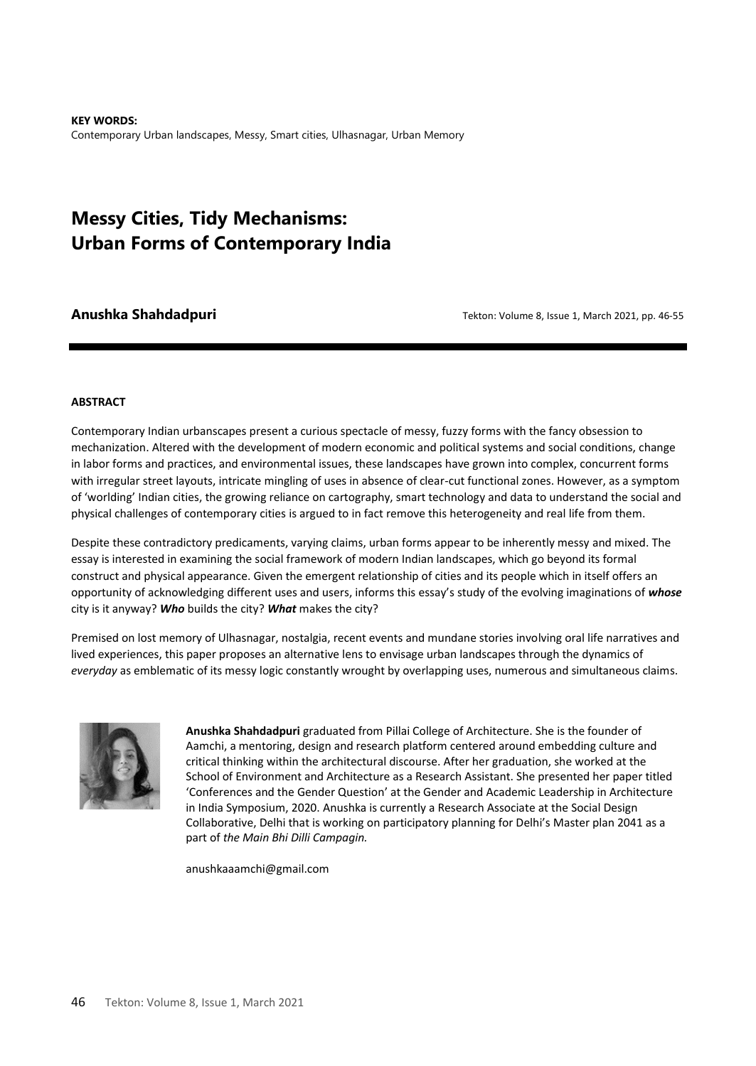**KEY WORDS:**  Contemporary Urban landscapes, Messy, Smart cities, Ulhasnagar, Urban Memory

# **Messy Cities, Tidy Mechanisms: Urban Forms of Contemporary India**

**Anushka Shahdadpuri** Tekton: Volume 8, Issue 1, March 2021, pp. 46-55

#### **ABSTRACT**

Contemporary Indian urbanscapes present a curious spectacle of messy, fuzzy forms with the fancy obsession to mechanization. Altered with the development of modern economic and political systems and social conditions, change in labor forms and practices, and environmental issues, these landscapes have grown into complex, concurrent forms with irregular street layouts, intricate mingling of uses in absence of clear-cut functional zones. However, as a symptom of 'worlding' Indian cities, the growing reliance on cartography, smart technology and data to understand the social and physical challenges of contemporary cities is argued to in fact remove this heterogeneity and real life from them.

Despite these contradictory predicaments, varying claims, urban forms appear to be inherently messy and mixed. The essay is interested in examining the social framework of modern Indian landscapes, which go beyond its formal construct and physical appearance. Given the emergent relationship of cities and its people which in itself offers an opportunity of acknowledging different uses and users, informs this essay's study of the evolving imaginations of *whose*  city is it anyway? *Who* builds the city? *What* makes the city?

Premised on lost memory of Ulhasnagar, nostalgia, recent events and mundane stories involving oral life narratives and lived experiences, this paper proposes an alternative lens to envisage urban landscapes through the dynamics of *everyday* as emblematic of its messy logic constantly wrought by overlapping uses, numerous and simultaneous claims.



**Anushka Shahdadpuri** graduated from Pillai College of Architecture. She is the founder of Aamchi, a mentoring, design and research platform centered around embedding culture and critical thinking within the architectural discourse. After her graduation, she worked at the School of Environment and Architecture as a Research Assistant. She presented her paper titled 'Conferences and the Gender Question' at the Gender and Academic Leadership in Architecture in India Symposium, 2020. Anushka is currently a Research Associate at the Social Design Collaborative, Delhi that is working on participatory planning for Delhi's Master plan 2041 as a part of *the Main Bhi Dilli Campagin.* 

anushkaaamchi@gmail.com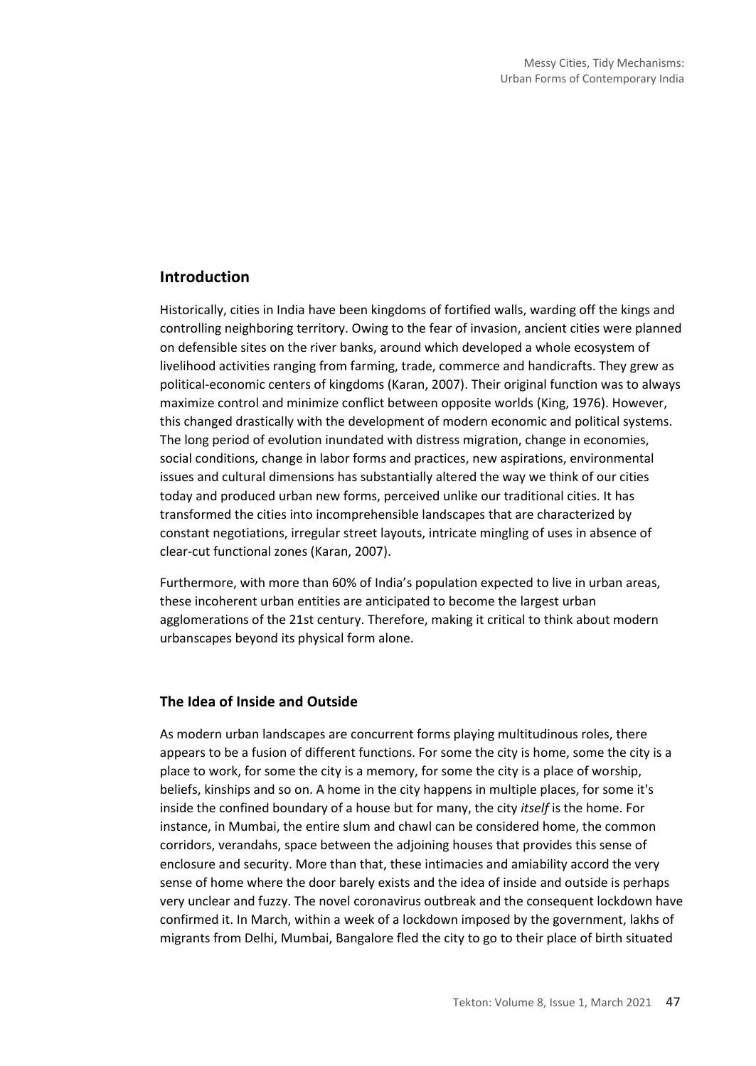## **Introduction**

Historically, cities in India have been kingdoms of fortified walls, warding off the kings and controlling neighboring territory. Owing to the fear of invasion, ancient cities were planned on defensible sites on the river banks, around which developed a whole ecosystem of livelihood activities ranging from farming, trade, commerce and handicrafts. They grew as political-economic centers of kingdoms (Karan, 2007). Their original function was to always maximize control and minimize conflict between opposite worlds (King, 1976). However, this changed drastically with the development of modern economic and political systems. The long period of evolution inundated with distress migration, change in economies, social conditions, change in labor forms and practices, new aspirations, environmental issues and cultural dimensions has substantially altered the way we think of our cities today and produced urban new forms, perceived unlike our traditional cities. It has transformed the cities into incomprehensible landscapes that are characterized by constant negotiations, irregular street layouts, intricate mingling of uses in absence of clear-cut functional zones (Karan, 2007).

Furthermore, with more than 60% of India's population expected to live in urban areas, these incoherent urban entities are anticipated to become the largest urban agglomerations of the 21st century. Therefore, making it critical to think about modern urbanscapes beyond its physical form alone.

#### **The Idea of Inside and Outside**

As modern urban landscapes are concurrent forms playing multitudinous roles, there appears to be a fusion of different functions. For some the city is home, some the city is a place to work, for some the city is a memory, for some the city is a place of worship, beliefs, kinships and so on. A home in the city happens in multiple places, for some it's inside the confined boundary of a house but for many, the city *itself* is the home. For instance, in Mumbai, the entire slum and chawl can be considered home, the common corridors, verandahs, space between the adjoining houses that provides this sense of enclosure and security. More than that, these intimacies and amiability accord the very sense of home where the door barely exists and the idea of inside and outside is perhaps very unclear and fuzzy. The novel coronavirus outbreak and the consequent lockdown have confirmed it. In March, within a week of a lockdown imposed by the government, lakhs of migrants from Delhi, Mumbai, Bangalore fled the city to go to their place of birth situated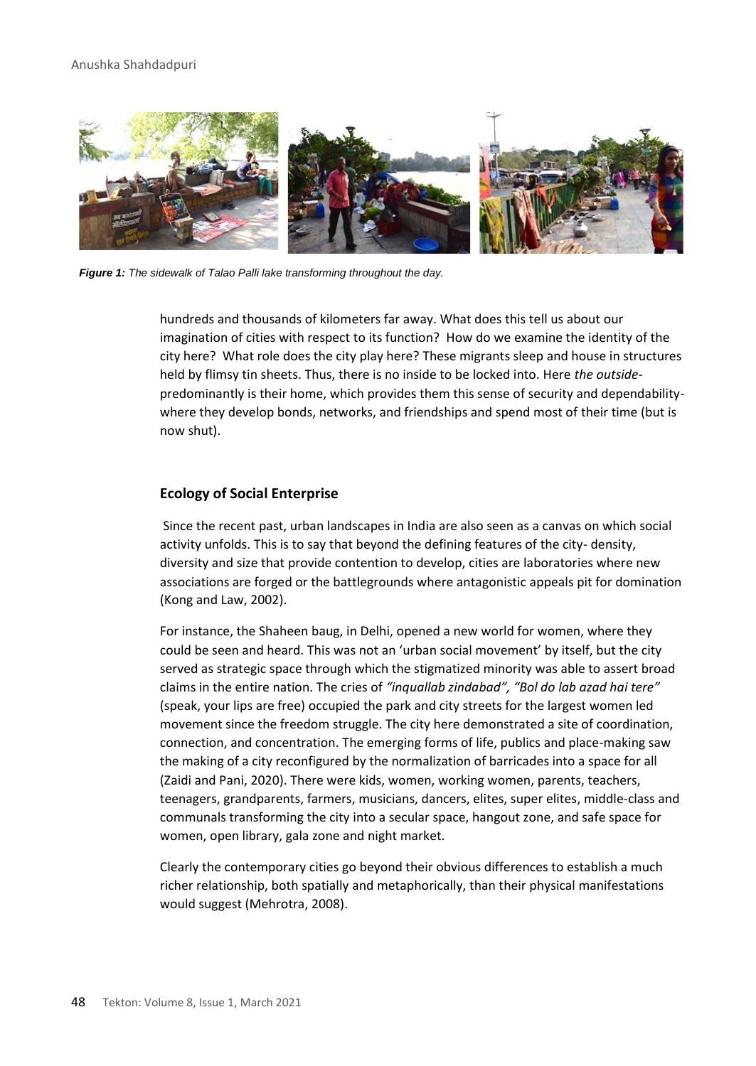#### Anushka Shahdadpuri



*Figure 1: The sidewalk of Talao Palli lake transforming throughout the day.*

hundreds and thousands of kilometers far away. What does this tell us about our imagination of cities with respect to its function? How do we examine the identity of the city here? What role does the city play here? These migrants sleep and house in structures held by flimsy tin sheets. Thus, there is no inside to be locked into. Here *the outside*predominantly is their home, which provides them this sense of security and dependabilitywhere they develop bonds, networks, and friendships and spend most of their time (but is now shut).

#### **Ecology of Social Enterprise**

Since the recent past, urban landscapes in India are also seen as a canvas on which social activity unfolds. This is to say that beyond the defining features of the city- density, diversity and size that provide contention to develop, cities are laboratories where new associations are forged or the battlegrounds where antagonistic appeals pit for domination (Kong and Law, 2002).

For instance, the Shaheen baug, in Delhi, opened a new world for women, where they could be seen and heard. This was not an 'urban social movement' by itself, but the city served as strategic space through which the stigmatized minority was able to assert broad claims in the entire nation. The cries of *"inquallab zindabad", "Bol do lab azad hai tere"* (speak, your lips are free) occupied the park and city streets for the largest women led movement since the freedom struggle. The city here demonstrated a site of coordination, connection, and concentration. The emerging forms of life, publics and place-making saw the making of a city reconfigured by the normalization of barricades into a space for all (Zaidi and Pani, 2020). There were kids, women, working women, parents, teachers, teenagers, grandparents, farmers, musicians, dancers, elites, super elites, middle-class and communals transforming the city into a secular space, hangout zone, and safe space for women, open library, gala zone and night market.

Clearly the contemporary cities go beyond their obvious differences to establish a much richer relationship, both spatially and metaphorically, than their physical manifestations would suggest (Mehrotra, 2008).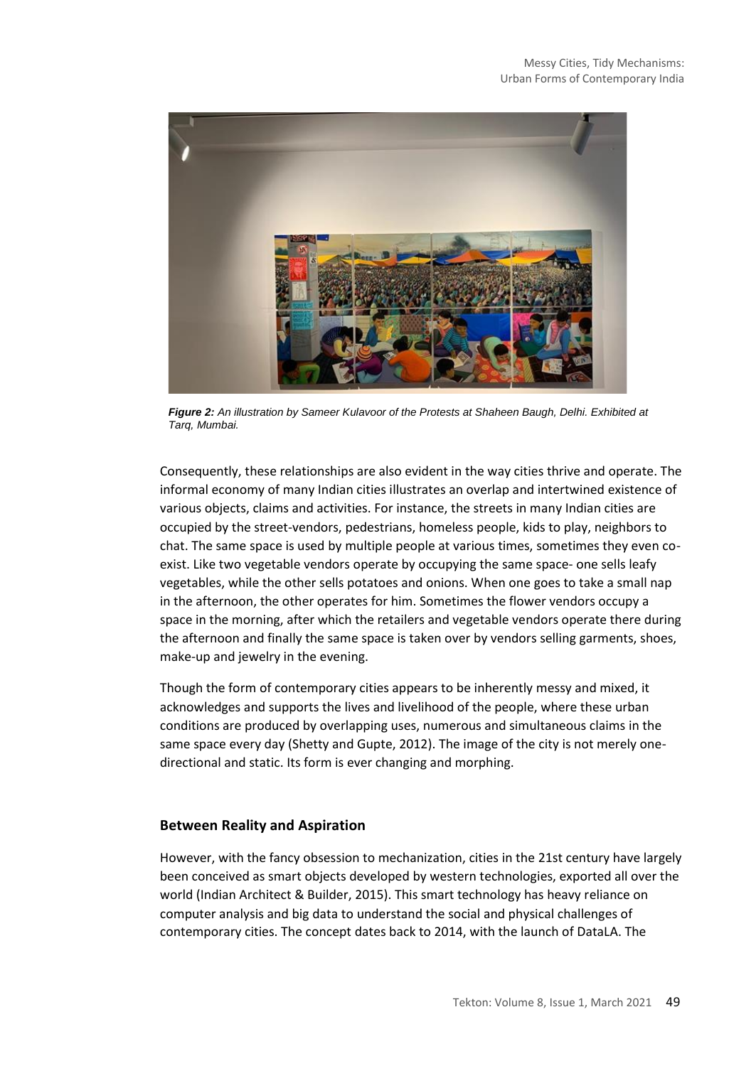

*Figure 2: An illustration by Sameer Kulavoor of the Protests at Shaheen Baugh, Delhi. Exhibited at Tarq, Mumbai.* 

Consequently, these relationships are also evident in the way cities thrive and operate. The informal economy of many Indian cities illustrates an overlap and intertwined existence of various objects, claims and activities. For instance, the streets in many Indian cities are occupied by the street-vendors, pedestrians, homeless people, kids to play, neighbors to chat. The same space is used by multiple people at various times, sometimes they even coexist. Like two vegetable vendors operate by occupying the same space- one sells leafy vegetables, while the other sells potatoes and onions. When one goes to take a small nap in the afternoon, the other operates for him. Sometimes the flower vendors occupy a space in the morning, after which the retailers and vegetable vendors operate there during the afternoon and finally the same space is taken over by vendors selling garments, shoes, make-up and jewelry in the evening.

Though the form of contemporary cities appears to be inherently messy and mixed, it acknowledges and supports the lives and livelihood of the people, where these urban conditions are produced by overlapping uses, numerous and simultaneous claims in the same space every day (Shetty and Gupte, 2012). The image of the city is not merely onedirectional and static. Its form is ever changing and morphing.

### **Between Reality and Aspiration**

However, with the fancy obsession to mechanization, cities in the 21st century have largely been conceived as smart objects developed by western technologies, exported all over the world (Indian Architect & Builder, 2015). This smart technology has heavy reliance on computer analysis and big data to understand the social and physical challenges of contemporary cities. The concept dates back to 2014, with the launch of DataLA. The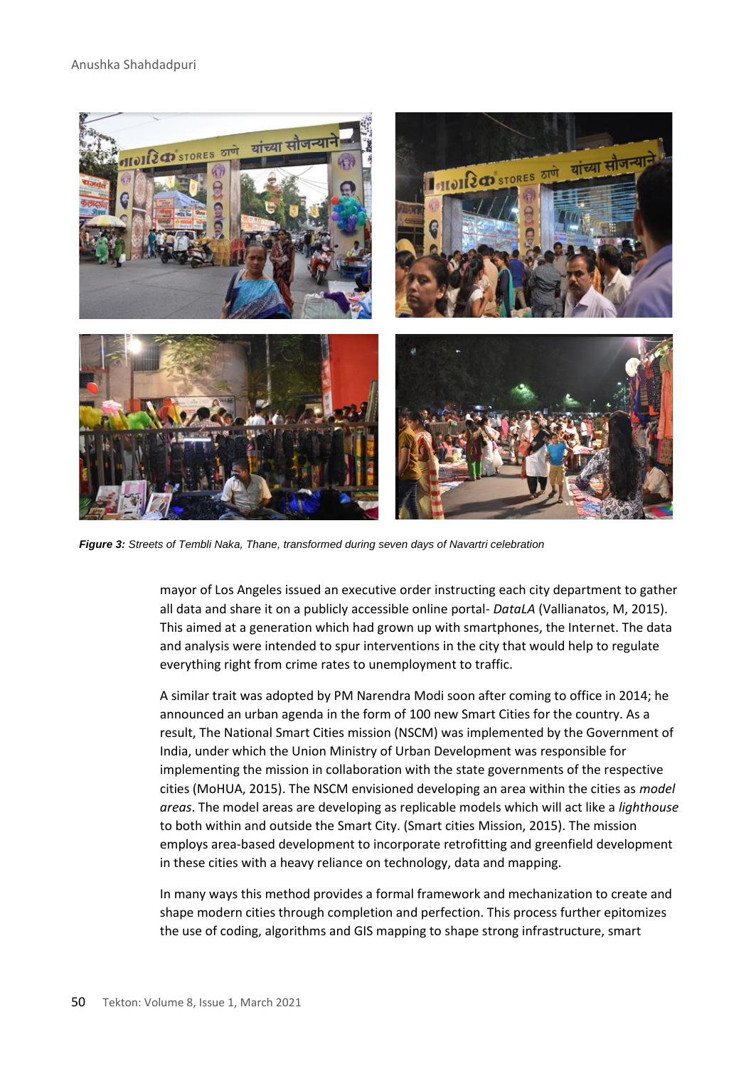

*Figure 3: Streets of Tembli Naka, Thane, transformed during seven days of Navartri celebration* 

mayor of Los Angeles issued an executive order instructing each city department to gather all data and share it on a publicly accessible online portal- *DataLA* (Vallianatos, M, 2015). This aimed at a generation which had grown up with smartphones, the Internet. The data and analysis were intended to spur interventions in the city that would help to regulate everything right from crime rates to unemployment to traffic.

A similar trait was adopted by PM Narendra Modi soon after coming to office in 2014; he announced an urban agenda in the form of 100 new Smart Cities for the country. As a result, The National Smart Cities mission (NSCM) was implemented by the Government of India, under which the Union Ministry of Urban Development was responsible for implementing the mission in collaboration with the state governments of the respective cities (MoHUA, 2015). The NSCM envisioned developing an area within the cities as *model areas*. The model areas are developing as replicable models which will act like a *lighthouse* to both within and outside the Smart City. (Smart cities Mission, 2015). The mission employs area-based development to incorporate retrofitting and greenfield development in these cities with a heavy reliance on technology, data and mapping.

In many ways this method provides a formal framework and mechanization to create and shape modern cities through completion and perfection. This process further epitomizes the use of coding, algorithms and GIS mapping to shape strong infrastructure, smart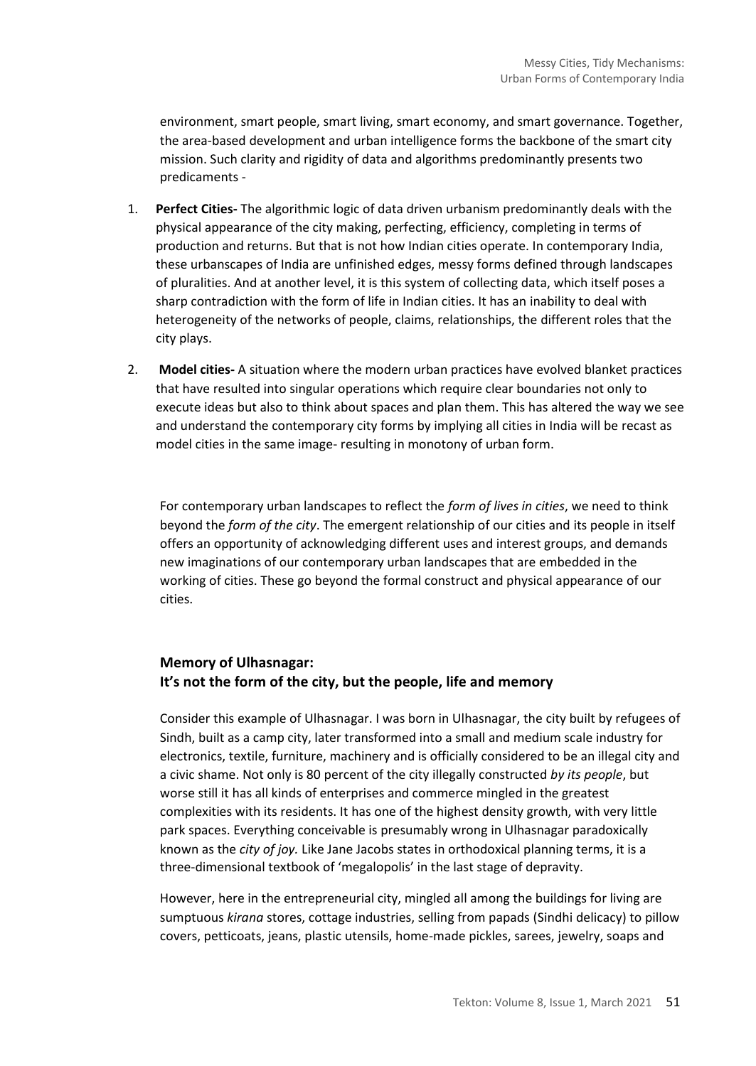environment, smart people, smart living, smart economy, and smart governance. Together, the area-based development and urban intelligence forms the backbone of the smart city mission. Such clarity and rigidity of data and algorithms predominantly presents two predicaments -

- 1. **Perfect Cities-** The algorithmic logic of data driven urbanism predominantly deals with the physical appearance of the city making, perfecting, efficiency, completing in terms of production and returns. But that is not how Indian cities operate. In contemporary India, these urbanscapes of India are unfinished edges, messy forms defined through landscapes of pluralities. And at another level, it is this system of collecting data, which itself poses a sharp contradiction with the form of life in Indian cities. It has an inability to deal with heterogeneity of the networks of people, claims, relationships, the different roles that the city plays.
- 2. **Model cities-** A situation where the modern urban practices have evolved blanket practices that have resulted into singular operations which require clear boundaries not only to execute ideas but also to think about spaces and plan them. This has altered the way we see and understand the contemporary city forms by implying all cities in India will be recast as model cities in the same image- resulting in monotony of urban form.

For contemporary urban landscapes to reflect the *form of lives in cities*, we need to think beyond the *form of the city*. The emergent relationship of our cities and its people in itself offers an opportunity of acknowledging different uses and interest groups, and demands new imaginations of our contemporary urban landscapes that are embedded in the working of cities. These go beyond the formal construct and physical appearance of our cities.

# **Memory of Ulhasnagar: It's not the form of the city, but the people, life and memory**

Consider this example of Ulhasnagar. I was born in Ulhasnagar, the city built by refugees of Sindh, built as a camp city, later transformed into a small and medium scale industry for electronics, textile, furniture, machinery and is officially considered to be an illegal city and a civic shame. Not only is 80 percent of the city illegally constructed *by its people*, but worse still it has all kinds of enterprises and commerce mingled in the greatest complexities with its residents. It has one of the highest density growth, with very little park spaces. Everything conceivable is presumably wrong in Ulhasnagar paradoxically known as the *city of joy.* Like Jane Jacobs states in orthodoxical planning terms, it is a three-dimensional textbook of 'megalopolis' in the last stage of depravity.

However, here in the entrepreneurial city, mingled all among the buildings for living are sumptuous *kirana* stores, cottage industries, selling from papads (Sindhi delicacy) to pillow covers, petticoats, jeans, plastic utensils, home-made pickles, sarees, jewelry, soaps and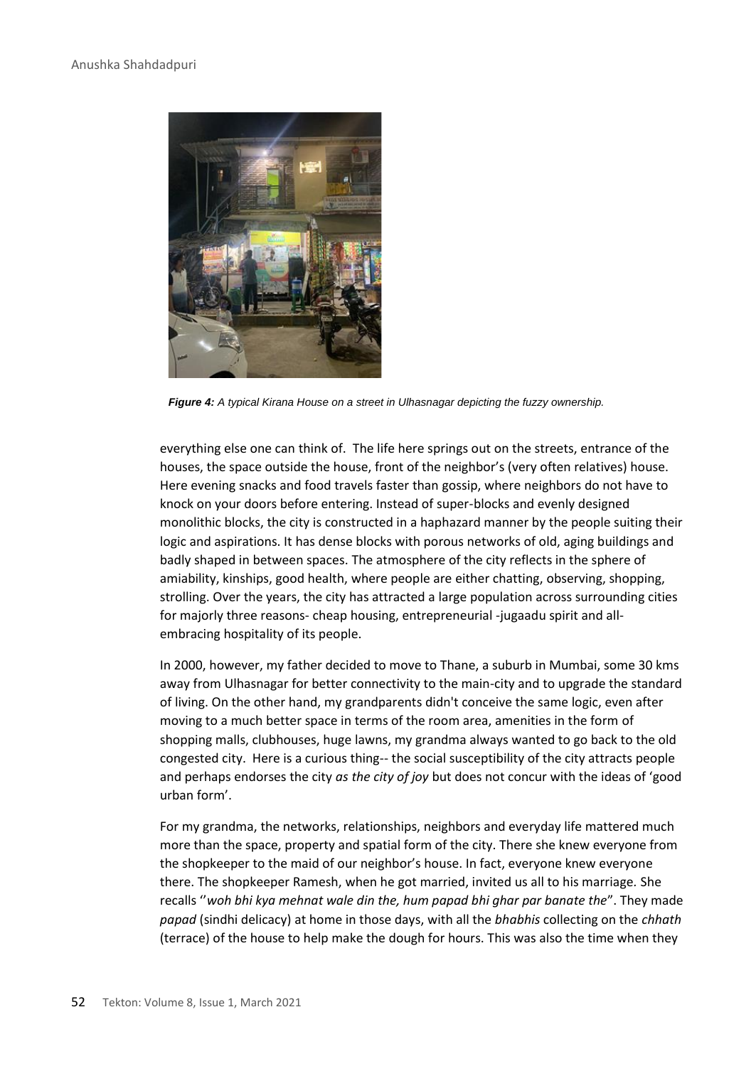

*Figure 4: A typical Kirana House on a street in Ulhasnagar depicting the fuzzy ownership.*

everything else one can think of. The life here springs out on the streets, entrance of the houses, the space outside the house, front of the neighbor's (very often relatives) house. Here evening snacks and food travels faster than gossip, where neighbors do not have to knock on your doors before entering. Instead of super-blocks and evenly designed monolithic blocks, the city is constructed in a haphazard manner by the people suiting their logic and aspirations. It has dense blocks with porous networks of old, aging buildings and badly shaped in between spaces. The atmosphere of the city reflects in the sphere of amiability, kinships, good health, where people are either chatting, observing, shopping, strolling. Over the years, the city has attracted a large population across surrounding cities for majorly three reasons- cheap housing, entrepreneurial -jugaadu spirit and allembracing hospitality of its people.

In 2000, however, my father decided to move to Thane, a suburb in Mumbai, some 30 kms away from Ulhasnagar for better connectivity to the main-city and to upgrade the standard of living. On the other hand, my grandparents didn't conceive the same logic, even after moving to a much better space in terms of the room area, amenities in the form of shopping malls, clubhouses, huge lawns, my grandma always wanted to go back to the old congested city. Here is a curious thing-- the social susceptibility of the city attracts people and perhaps endorses the city *as the city of joy* but does not concur with the ideas of 'good urban form'.

For my grandma, the networks, relationships, neighbors and everyday life mattered much more than the space, property and spatial form of the city. There she knew everyone from the shopkeeper to the maid of our neighbor's house. In fact, everyone knew everyone there. The shopkeeper Ramesh, when he got married, invited us all to his marriage*.* She recalls ''*woh bhi kya mehnat wale din the, hum papad bhi ghar par banate the*". They made *papad* (sindhi delicacy) at home in those days, with all the *bhabhis* collecting on the *chhath* (terrace) of the house to help make the dough for hours. This was also the time when they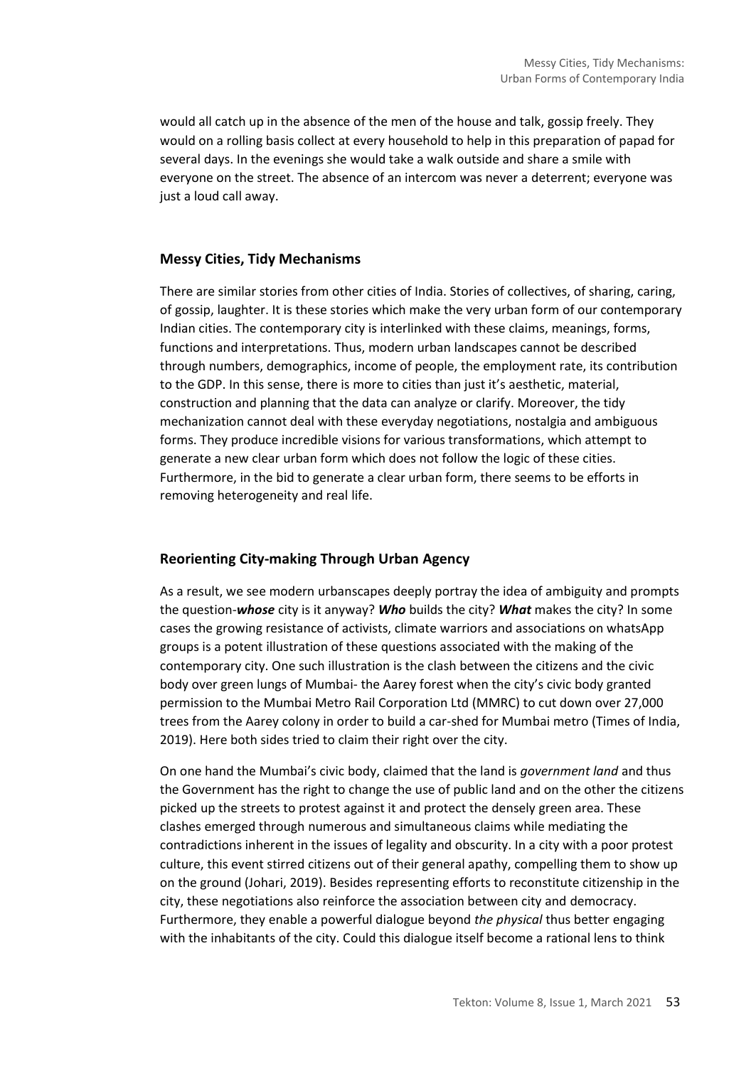would all catch up in the absence of the men of the house and talk, gossip freely. They would on a rolling basis collect at every household to help in this preparation of papad for several days. In the evenings she would take a walk outside and share a smile with everyone on the street. The absence of an intercom was never a deterrent; everyone was just a loud call away.

#### **Messy Cities, Tidy Mechanisms**

There are similar stories from other cities of India. Stories of collectives, of sharing, caring, of gossip, laughter. It is these stories which make the very urban form of our contemporary Indian cities. The contemporary city is interlinked with these claims, meanings, forms, functions and interpretations. Thus, modern urban landscapes cannot be described through numbers, demographics, income of people, the employment rate, its contribution to the GDP. In this sense, there is more to cities than just it's aesthetic, material, construction and planning that the data can analyze or clarify. Moreover, the tidy mechanization cannot deal with these everyday negotiations, nostalgia and ambiguous forms. They produce incredible visions for various transformations, which attempt to generate a new clear urban form which does not follow the logic of these cities. Furthermore, in the bid to generate a clear urban form, there seems to be efforts in removing heterogeneity and real life.

### **Reorienting City-making Through Urban Agency**

As a result, we see modern urbanscapes deeply portray the idea of ambiguity and prompts the question-*whose* city is it anyway? *Who* builds the city? *What* makes the city? In some cases the growing resistance of activists, climate warriors and associations on whatsApp groups is a potent illustration of these questions associated with the making of the contemporary city. One such illustration is the clash between the citizens and the civic body over green lungs of Mumbai- the Aarey forest when the city's civic body granted permission to the Mumbai Metro Rail Corporation Ltd (MMRC) to cut down over 27,000 trees from the Aarey colony in order to build a car-shed for Mumbai metro (Times of India, 2019). Here both sides tried to claim their right over the city.

On one hand the Mumbai's civic body, claimed that the land is *government land* and thus the Government has the right to change the use of public land and on the other the citizens picked up the streets to protest against it and protect the densely green area. These clashes emerged through numerous and simultaneous claims while mediating the contradictions inherent in the issues of legality and obscurity. In a city with a poor protest culture, this event stirred citizens out of their general apathy, compelling them to show up on the ground (Johari, 2019). Besides representing efforts to reconstitute citizenship in the city, these negotiations also reinforce the association between city and democracy. Furthermore, they enable a powerful dialogue beyond *the physical* thus better engaging with the inhabitants of the city. Could this dialogue itself become a rational lens to think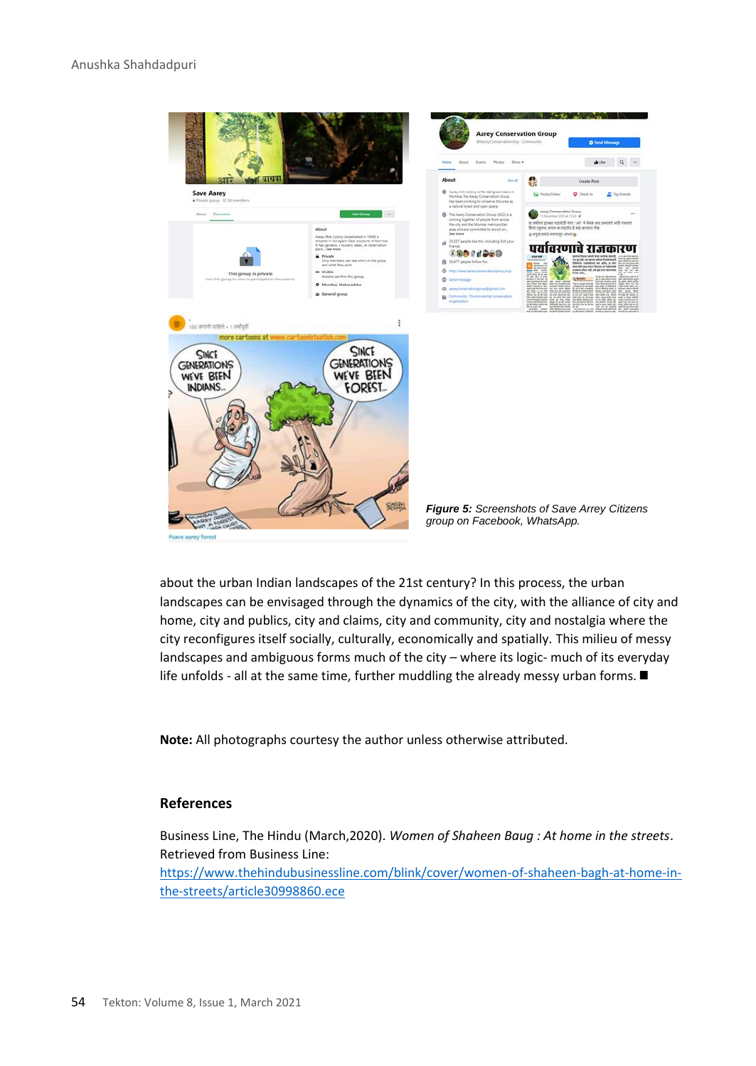

about the urban Indian landscapes of the 21st century? In this process, the urban landscapes can be envisaged through the dynamics of the city, with the alliance of city and home, city and publics, city and claims, city and community, city and nostalgia where the city reconfigures itself socially, culturally, economically and spatially. This milieu of messy landscapes and ambiguous forms much of the city – where its logic- much of its everyday life unfolds - all at the same time, further muddling the already messy urban forms.  $\blacksquare$ 

**Note:** All photographs courtesy the author unless otherwise attributed.

#### **References**

Business Line, The Hindu (March,2020). *Women of Shaheen Baug : At home in the streets*. Retrieved from Business Line:

[https://www.thehindubusinessline.com/blink/cover/women-of-shaheen-bagh-at-home-in](https://www.thehindubusinessline.com/blink/cover/women-of-shaheen-bagh-at-home-in-the-streets/article30998860.ece)[the-streets/article30998860.ece](https://www.thehindubusinessline.com/blink/cover/women-of-shaheen-bagh-at-home-in-the-streets/article30998860.ece)